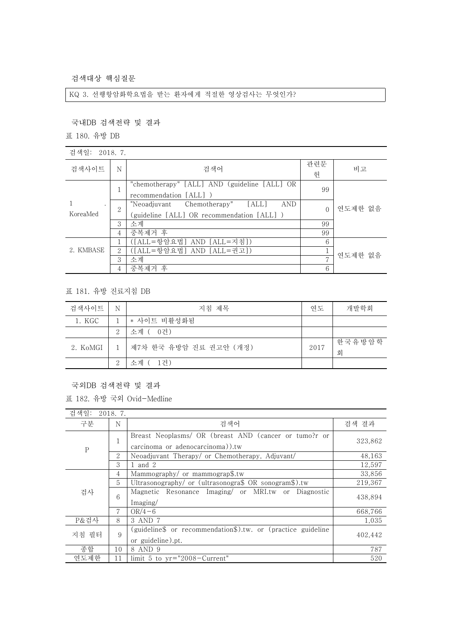검색대상 핵심질문

KQ 3. 선행항암화학요법을 받는 환자에게 적절한 영상검사는 무엇인가?

## 국내DB 검색전략 및 결과

표 180. 유방 DB

| 검색일: | 2018.7. |  |  |
|------|---------|--|--|
|------|---------|--|--|

| 검색사이트               | N | 검색어                                                                                   | 관련문<br>헌 | 비고      |  |
|---------------------|---|---------------------------------------------------------------------------------------|----------|---------|--|
|                     |   | "chemotherapy" [ALL] AND (guideline [ALL] OR<br>recommendation [ALL] )                | 99       |         |  |
| $\cdot$<br>KoreaMed | 2 | AND<br>"Neoadjuvant Chemotherapy" [ALL]<br>(guideline [ALL] OR recommendation [ALL] ) | $\Omega$ | 연도제한 없음 |  |
|                     | 3 | 소계                                                                                    | 99       |         |  |
|                     | 4 | 중복제거 후                                                                                | 99       |         |  |
|                     |   | ([ALL=항암요법] AND [ALL=지침])                                                             | 6        |         |  |
| 2. KMBASE           | 2 | ([ALL=항암요법] AND [ALL=권고])                                                             |          | 연도제한 없음 |  |
|                     | 3 | 소계                                                                                    | <b>r</b> |         |  |
|                     |   | 중복제거 후                                                                                | 6        |         |  |

## 표 181. 유방 진료지침 DB

| 검색사이트    | N | 지침 제목                  | 연도   | 개발학회        |
|----------|---|------------------------|------|-------------|
| 1. KGC   |   | * 사이트 비활성화됨            |      |             |
|          | 2 | 소계 ( 0건)               |      |             |
| 2. KoMGI |   | 제7차 한국 유방암 진료 권고안 (개정) | 2017 | 한국유방암학<br>회 |
|          | 2 | 소계 ( 1건)               |      |             |

국외DB 검색전략 및 결과

표 182. 유방 국외 Ovid-Medline

| 검색일:      | 2018.7. |                                                                                           |         |
|-----------|---------|-------------------------------------------------------------------------------------------|---------|
| 구분        | N       | 검색어                                                                                       | 검색 결과   |
| ${\bf P}$ |         | Breast Neoplasms/ OR (breast AND (cancer or tumo?r or<br>carcinoma or adenocarcinoma)).tw | 323,862 |
|           | 2       | Neoadjuvant Therapy/ or Chemotherapy, Adjuvant/                                           | 48,163  |
|           | 3       | 1 and $2$                                                                                 | 12,597  |
| 검사        | 4       | Mammography/ or mammograp\$.tw                                                            | 33,856  |
|           | 5       | Ultrasonography/ or (ultrasonogra\$ OR sonogram\$).tw                                     | 219,367 |
|           | 6       | Magnetic Resonance Imaging/ or MRI.tw or Diagnostic<br>Imaging/                           | 438,894 |
|           | 7       | $OR/4-6$                                                                                  | 668,766 |
| P&검사      | 8       | 3 AND 7                                                                                   | 1.035   |
| 지침 필터     | 9       | (guideline\$ or recommendation\$).tw. or (practice guideline<br>or guideline).pt.         | 402.442 |
| 종합        | 10      | 8 AND 9                                                                                   | 787     |
| 연도제하      | 11      | limit 5 to $yr="2008-Current"$                                                            | 520     |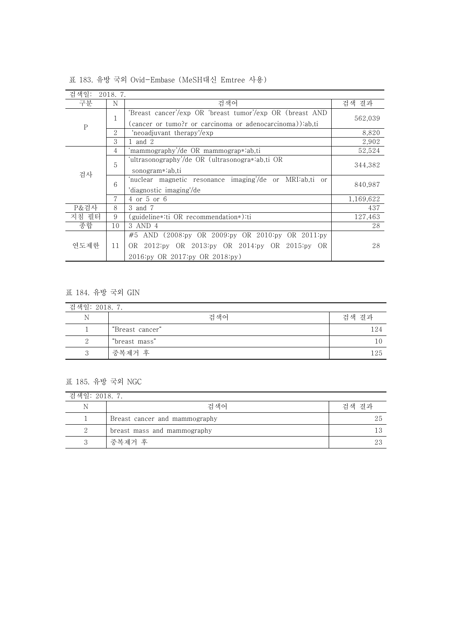| 검색일:                     | 2018.7.                                                                                |                                                          |           |
|--------------------------|----------------------------------------------------------------------------------------|----------------------------------------------------------|-----------|
| 구분                       | N                                                                                      | 검색어                                                      | 검색 결과     |
| 1<br>${\bf P}$<br>2<br>3 | 'Breast cancer'/exp OR 'breast tumor'/exp OR (breast AND                               |                                                          |           |
|                          |                                                                                        | (cancer or tumo?r or carcinoma or adenocarcinoma)):ab,ti | 562,039   |
|                          |                                                                                        | 'neoadjuvant therapy'/exp                                | 8,820     |
|                          |                                                                                        | 1 and 2                                                  | 2,902     |
|                          | 4                                                                                      | 'mammography'/de OR mammograp*:ab,ti                     | 52,524    |
|                          | 5                                                                                      | 'ultrasonography'/de OR (ultrasonogra*:ab,ti OR          |           |
| 검사                       |                                                                                        | sonogram*:ab.ti                                          | 344,382   |
|                          | 6                                                                                      | 'nuclear magnetic resonance imaging'/de or MRI:ab,ti or  |           |
|                          |                                                                                        | 'diagnostic imaging'/de                                  | 840,987   |
|                          | 7                                                                                      | 4 or 5 or 6                                              | 1,169,622 |
| P&검사                     | 8                                                                                      | 3 and 7                                                  | 437       |
| 지침 필터                    | 9                                                                                      | guideline∗∷ti OR recommendation∗):ti∑                    | 127,463   |
| 종합                       | 10                                                                                     | 3 AND 4                                                  | 28        |
| 연도제한<br>11               | #5 AND $(2008 \text{ by OR } 2009 \text{ by OR } 2010 \text{ by OR } 2011 \text{ by }$ |                                                          |           |
|                          |                                                                                        | OR 2012 py OR 2013 py OR 2014 py OR 2015 py OR           | 28        |
|                          |                                                                                        | 2016:py OR 2017:py OR 2018:py)                           |           |

표 183. 유방 국외 Ovid-Embase (MeSH대신 Emtree 사용)

## 표 184. 유방 국외 GIN

| 검색일: 2018. 7. |                 |       |  |
|---------------|-----------------|-------|--|
| N             | 검색어             | 검색 결과 |  |
|               | "Breast cancer" | 124   |  |
|               | "breast mass"   |       |  |
| 2             | 중복제거 후          | 125   |  |

## 표 185. 유방 국외 NGC

| 검색일: 2018. 7. |                               |       |  |
|---------------|-------------------------------|-------|--|
| N             | 검색어                           | 검색 결과 |  |
|               | Breast cancer and mammography | 25    |  |
| 2             | breast mass and mammography   |       |  |
|               | 중복제거 후                        | 23    |  |